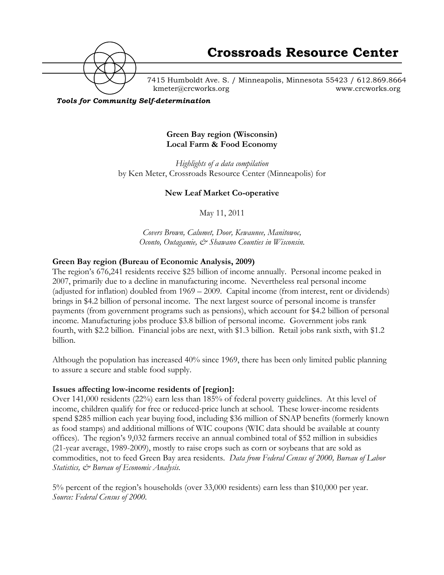

7415 Humboldt Ave. S. / Minneapolis, Minnesota 55423 / 612.869.8664 kmeter@crcworks.org www.crcworks.org

*Tools for Community Self-determination*

**Green Bay region (Wisconsin) Local Farm & Food Economy**

*Highlights of a data compilation*  by Ken Meter, Crossroads Resource Center (Minneapolis) for

## **New Leaf Market Co-operative**

May 11, 2011

*Covers Brown, Calumet, Door, Kewaunee, Manitowoc, Oconto, Outagamie, & Shawano Counties in Wisconsin.*

#### **Green Bay region (Bureau of Economic Analysis, 2009)**

The region's 676,241 residents receive \$25 billion of income annually. Personal income peaked in 2007, primarily due to a decline in manufacturing income. Nevertheless real personal income (adjusted for inflation) doubled from 1969 – 2009. Capital income (from interest, rent or dividends) brings in \$4.2 billion of personal income. The next largest source of personal income is transfer payments (from government programs such as pensions), which account for \$4.2 billion of personal income*.* Manufacturing jobs produce \$3.8 billion of personal income. Government jobs rank fourth, with \$2.2 billion. Financial jobs are next, with \$1.3 billion. Retail jobs rank sixth, with \$1.2 billion.

Although the population has increased 40% since 1969, there has been only limited public planning to assure a secure and stable food supply.

#### **Issues affecting low-income residents of [region]:**

Over 141,000 residents (22%) earn less than 185% of federal poverty guidelines. At this level of income, children qualify for free or reduced-price lunch at school. These lower-income residents spend \$285 million each year buying food, including \$36 million of SNAP benefits (formerly known as food stamps) and additional millions of WIC coupons (WIC data should be available at county offices). The region's 9,032 farmers receive an annual combined total of \$52 million in subsidies (21-year average, 1989-2009), mostly to raise crops such as corn or soybeans that are sold as commodities, not to feed Green Bay area residents. *Data from Federal Census of 2000, Bureau of Labor Statistics, & Bureau of Economic Analysis.*

5% percent of the region's households (over 33,000 residents) earn less than \$10,000 per year. *Source: Federal Census of 2000.*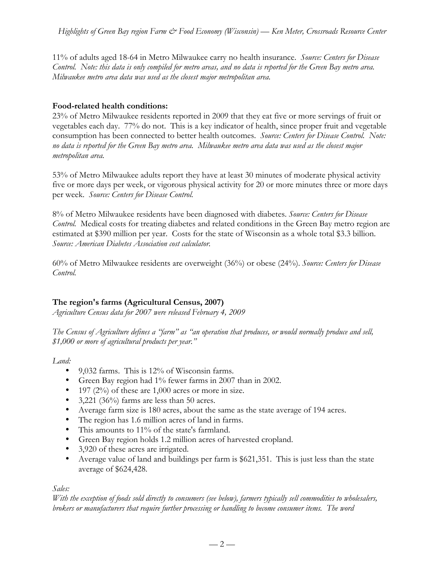11% of adults aged 18-64 in Metro Milwaukee carry no health insurance. *Source: Centers for Disease Control. Note: this data is only compiled for metro areas, and no data is reported for the Green Bay metro area. Milwaukee metro area data was used as the closest major metropolitan area.*

## **Food-related health conditions:**

23% of Metro Milwaukee residents reported in 2009 that they eat five or more servings of fruit or vegetables each day. 77% do not. This is a key indicator of health, since proper fruit and vegetable consumption has been connected to better health outcomes. *Source: Centers for Disease Control. Note: no data is reported for the Green Bay metro area. Milwaukee metro area data was used as the closest major metropolitan area.*

53% of Metro Milwaukee adults report they have at least 30 minutes of moderate physical activity five or more days per week, or vigorous physical activity for 20 or more minutes three or more days per week. *Source: Centers for Disease Control.*

8% of Metro Milwaukee residents have been diagnosed with diabetes. *Source: Centers for Disease Control.* Medical costs for treating diabetes and related conditions in the Green Bay metro region are estimated at \$390 million per year. Costs for the state of Wisconsin as a whole total \$3.3 billion. *Source: American Diabetes Association cost calculator.*

60% of Metro Milwaukee residents are overweight (36%) or obese (24%). *Source: Centers for Disease Control.*

# **The region's farms (Agricultural Census, 2007)**

*Agriculture Census data for 2007 were released February 4, 2009*

*The Census of Agriculture defines a "farm" as "an operation that produces, or would normally produce and sell, \$1,000 or more of agricultural products per year."*

*Land:*

- 9,032 farms. This is 12% of Wisconsin farms.
- Green Bay region had 1% fewer farms in 2007 than in 2002.
- 197 (2%) of these are 1,000 acres or more in size.
- 3,221 (36%) farms are less than 50 acres.
- Average farm size is 180 acres, about the same as the state average of 194 acres.
- The region has 1.6 million acres of land in farms.
- This amounts to 11% of the state's farmland.
- Green Bay region holds 1.2 million acres of harvested cropland.
- 3,920 of these acres are irrigated.
- Average value of land and buildings per farm is \$621,351. This is just less than the state average of \$624,428.

*Sales:*

*With the exception of foods sold directly to consumers (see below), farmers typically sell commodities to wholesalers, brokers or manufacturers that require further processing or handling to become consumer items. The word*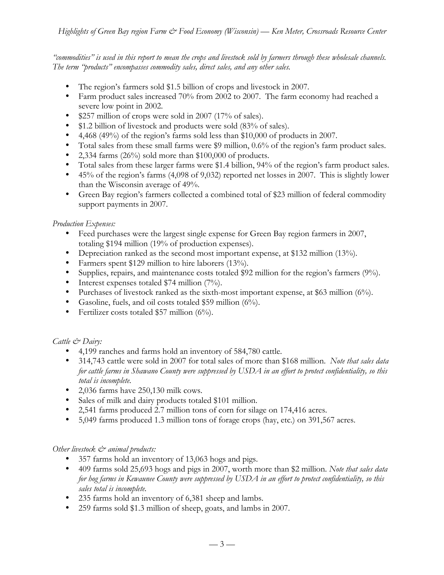*"commodities" is used in this report to mean the crops and livestock sold by farmers through these wholesale channels. The term "products" encompasses commodity sales, direct sales, and any other sales.*

- The region's farmers sold \$1.5 billion of crops and livestock in 2007.
- Farm product sales increased 70% from 2002 to 2007. The farm economy had reached a severe low point in 2002.
- \$257 million of crops were sold in 2007 (17% of sales).
- \$1.2 billion of livestock and products were sold (83% of sales).
- 4,468 (49%) of the region's farms sold less than \$10,000 of products in 2007.
- Total sales from these small farms were \$9 million, 0.6% of the region's farm product sales.
- 2,334 farms (26%) sold more than \$100,000 of products.
- Total sales from these larger farms were \$1.4 billion, 94% of the region's farm product sales.
- 45% of the region's farms (4,098 of 9,032) reported net losses in 2007. This is slightly lower than the Wisconsin average of 49%.
- Green Bay region's farmers collected a combined total of \$23 million of federal commodity support payments in 2007.

### *Production Expenses:*

- Feed purchases were the largest single expense for Green Bay region farmers in 2007, totaling \$194 million (19% of production expenses).
- Depreciation ranked as the second most important expense, at \$132 million (13%).
- Farmers spent \$129 million to hire laborers (13%).
- Supplies, repairs, and maintenance costs totaled \$92 million for the region's farmers (9%).
- Interest expenses totaled \$74 million (7%).
- Purchases of livestock ranked as the sixth-most important expense, at \$63 million (6%).
- Gasoline, fuels, and oil costs totaled \$59 million (6%).
- Fertilizer costs totaled \$57 million (6%).

# *Cattle & Dairy:*

- 4,199 ranches and farms hold an inventory of 584,780 cattle.
- 314,743 cattle were sold in 2007 for total sales of more than \$168 million. *Note that sales data for cattle farms in Shawano County were suppressed by USDA in an effort to protect confidentiality, so this total is incomplete.*
- 2,036 farms have 250,130 milk cows.
- Sales of milk and dairy products totaled \$101 million.
- 2,541 farms produced 2.7 million tons of corn for silage on 174,416 acres.
- 5,049 farms produced 1.3 million tons of forage crops (hay, etc.) on 391,567 acres.

### *Other livestock*  $\mathcal{Q}$  *animal products:*

- 357 farms hold an inventory of 13,063 hogs and pigs.
- 409 farms sold 25,693 hogs and pigs in 2007, worth more than \$2 million. *Note that sales data for hog farms in Kewaunee County were suppressed by USDA in an effort to protect confidentiality, so this sales total is incomplete.*
- 235 farms hold an inventory of 6,381 sheep and lambs.
- 259 farms sold \$1.3 million of sheep, goats, and lambs in 2007.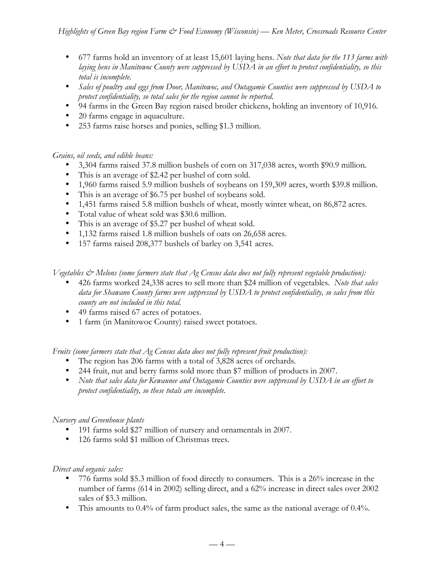- 677 farms hold an inventory of at least 15,601 laying hens. *Note that data for the 113 farms with laying hens in Manitowoc County were suppressed by USDA in an effort to protect confidentiality, so this total is incomplete.*
- *Sales of poultry and eggs from Door, Manitowoc, and Outagamie Counties were suppressed by USDA to protect confidentiality, so total sales for the region cannot be reported.*
- 94 farms in the Green Bay region raised broiler chickens, holding an inventory of 10,916*.*
- 20 farms engage in aquaculture.
- 253 farms raise horses and ponies, selling \$1.3 million.

# *Grains, oil seeds, and edible beans:*

- 3,304 farms raised 37.8 million bushels of corn on 317,038 acres, worth \$90.9 million.
- This is an average of \$2.42 per bushel of corn sold.
- 1,960 farms raised 5.9 million bushels of soybeans on 159,309 acres, worth \$39.8 million.
- This is an average of \$6.75 per bushel of soybeans sold.
- 1,451 farms raised 5.8 million bushels of wheat, mostly winter wheat, on 86,872 acres.
- Total value of wheat sold was \$30.6 million.
- This is an average of \$5.27 per bushel of wheat sold.
- 1,132 farms raised 1.8 million bushels of oats on 26,658 acres.
- 157 farms raised 208,377 bushels of barley on 3,541 acres.

*Vegetables & Melons (some farmers state that Ag Census data does not fully represent vegetable production):*

- 426 farms worked 24,338 acres to sell more than \$24 million of vegetables. *Note that sales data for Shawano County farms were suppressed by USDA to protect confidentiality, so sales from this county are not included in this total.*
- 49 farms raised 67 acres of potatoes.
- 1 farm (in Manitowoc County) raised sweet potatoes.

*Fruits (some farmers state that Ag Census data does not fully represent fruit production):*

- The region has 206 farms with a total of 3,828 acres of orchards.
- 244 fruit, nut and berry farms sold more than \$7 million of products in 2007.
- *Note that sales data for Kewaunee and Outagamie Counties were suppressed by USDA in an effort to protect confidentiality, so these totals are incomplete.*

# *Nursery and Greenhouse plants*

- 191 farms sold \$27 million of nursery and ornamentals in 2007.
- 126 farms sold \$1 million of Christmas trees.

# *Direct and organic sales:*

- 776 farms sold \$5.3 million of food directly to consumers. This is a 26% increase in the number of farms (614 in 2002) selling direct, and a 62% increase in direct sales over 2002 sales of \$3.3 million.
- This amounts to 0.4% of farm product sales, the same as the national average of 0.4%.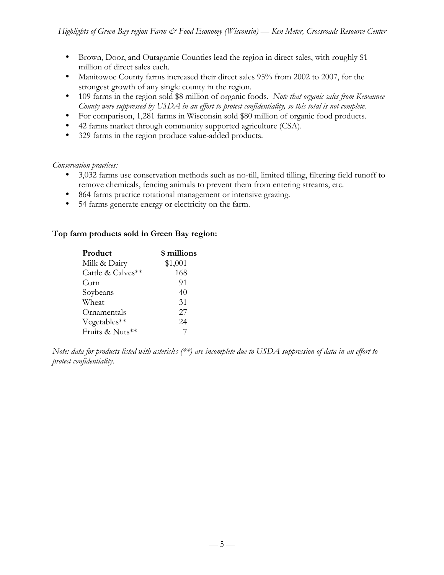- Brown, Door, and Outagamie Counties lead the region in direct sales, with roughly \$1 million of direct sales each.
- Manitowoc County farms increased their direct sales 95% from 2002 to 2007, for the strongest growth of any single county in the region.
- 109 farms in the region sold \$8 million of organic foods. *Note that organic sales from Kewaunee County were suppressed by USDA in an effort to protect confidentiality, so this total is not complete.*
- For comparison, 1,281 farms in Wisconsin sold \$80 million of organic food products.
- 42 farms market through community supported agriculture (CSA).
- 329 farms in the region produce value-added products.

#### *Conservation practices:*

- 3,032 farms use conservation methods such as no-till, limited tilling, filtering field runoff to remove chemicals, fencing animals to prevent them from entering streams, etc.
- 864 farms practice rotational management or intensive grazing.
- 54 farms generate energy or electricity on the farm.

#### **Top farm products sold in Green Bay region:**

| Product           | \$ millions |
|-------------------|-------------|
| Milk & Dairy      | \$1,001     |
| Cattle & Calves** | 168         |
| Corn              | 91          |
| Soybeans          | 40          |
| Wheat             | 31          |
| Ornamentals       | 27          |
| Vegetables**      | 24          |
| Fruits & Nuts**   |             |

*Note: data for products listed with asterisks (\*\*) are incomplete due to USDA suppression of data in an effort to protect confidentiality.*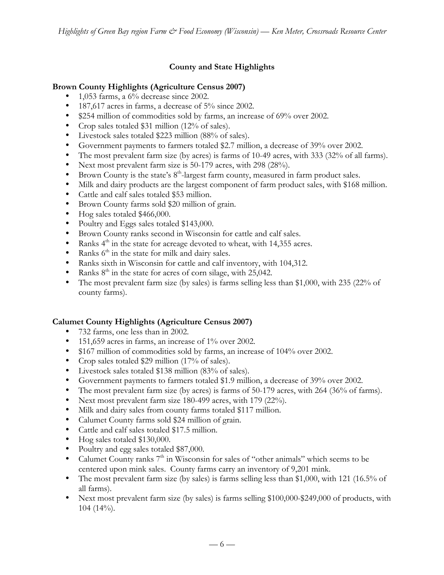# **County and State Highlights**

## **Brown County Highlights (Agriculture Census 2007)**

- $1,053$  farms, a  $6\%$  decrease since 2002.
- 187,617 acres in farms, a decrease of 5% since 2002.
- \$254 million of commodities sold by farms, an increase of 69% over 2002.
- Crop sales totaled \$31 million (12% of sales).
- Livestock sales totaled \$223 million (88% of sales).
- Government payments to farmers totaled \$2.7 million, a decrease of 39% over 2002.
- The most prevalent farm size (by acres) is farms of 10-49 acres, with 333 (32% of all farms).
- Next most prevalent farm size is 50-179 acres, with 298 (28%).
- Brown County is the state's  $8<sup>th</sup>$ -largest farm county, measured in farm product sales.
- Milk and dairy products are the largest component of farm product sales, with \$168 million.
- Cattle and calf sales totaled \$53 million.
- Brown County farms sold \$20 million of grain.
- Hog sales totaled \$466,000.
- Poultry and Eggs sales totaled \$143,000.
- Brown County ranks second in Wisconsin for cattle and calf sales.
- Ranks  $4<sup>th</sup>$  in the state for acreage devoted to wheat, with 14,355 acres.<br>• Ranks  $6<sup>th</sup>$  in the state for milk and dairy sales
- Ranks  $6<sup>th</sup>$  in the state for milk and dairy sales.
- Ranks sixth in Wisconsin for cattle and calf inventory, with 104,312.
- Ranks  $8<sup>th</sup>$  in the state for acres of corn silage, with 25,042.
- The most prevalent farm size (by sales) is farms selling less than \$1,000, with 235 (22% of county farms).

### **Calumet County Highlights (Agriculture Census 2007)**

- 732 farms, one less than in 2002.
- 151,659 acres in farms, an increase of 1% over 2002.
- \$167 million of commodities sold by farms, an increase of 104% over 2002.
- Crop sales totaled \$29 million (17% of sales).
- Livestock sales totaled \$138 million (83% of sales).
- Government payments to farmers totaled \$1.9 million, a decrease of 39% over 2002.
- The most prevalent farm size (by acres) is farms of 50-179 acres, with 264 (36% of farms).
- Next most prevalent farm size 180-499 acres, with 179 (22%).
- Milk and dairy sales from county farms totaled \$117 million.
- Calumet County farms sold \$24 million of grain.
- Cattle and calf sales totaled \$17.5 million.
- Hog sales totaled \$130,000.
- Poultry and egg sales totaled \$87,000.
- Calumet County ranks  $7<sup>th</sup>$  in Wisconsin for sales of "other animals" which seems to be centered upon mink sales. County farms carry an inventory of 9,201 mink.
- The most prevalent farm size (by sales) is farms selling less than \$1,000, with 121 (16.5% of all farms).
- Next most prevalent farm size (by sales) is farms selling \$100,000-\$249,000 of products, with 104 (14%).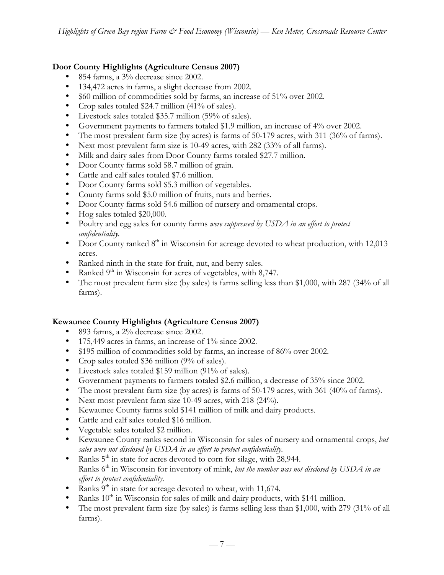# **Door County Highlights (Agriculture Census 2007)**

- 854 farms, a 3% decrease since 2002.
- 134,472 acres in farms, a slight decrease from 2002.
- \$60 million of commodities sold by farms, an increase of 51% over 2002.
- Crop sales totaled \$24.7 million (41% of sales).
- Livestock sales totaled \$35.7 million (59% of sales).
- Government payments to farmers totaled \$1.9 million, an increase of 4% over 2002.
- The most prevalent farm size (by acres) is farms of 50-179 acres, with 311 (36% of farms).
- Next most prevalent farm size is 10-49 acres, with 282 (33% of all farms).
- Milk and dairy sales from Door County farms totaled \$27.7 million.
- Door County farms sold \$8.7 million of grain.
- Cattle and calf sales totaled \$7.6 million.
- Door County farms sold \$5.3 million of vegetables.
- County farms sold \$5.0 million of fruits, nuts and berries.
- Door County farms sold \$4.6 million of nursery and ornamental crops.
- Hog sales totaled \$20,000.
- Poultry and egg sales for county farms *were suppressed by USDA in an effort to protect confidentiality.*
- Door County ranked  $8<sup>th</sup>$  in Wisconsin for acreage devoted to wheat production, with 12,013 acres.
- Ranked ninth in the state for fruit, nut, and berry sales.
- Ranked 9<sup>th</sup> in Wisconsin for acres of vegetables, with 8,747.
- The most prevalent farm size (by sales) is farms selling less than \$1,000, with 287 (34% of all farms).

# **Kewaunee County Highlights (Agriculture Census 2007)**

- 893 farms, a 2% decrease since 2002.
- 175,449 acres in farms, an increase of 1% since 2002.
- \$195 million of commodities sold by farms, an increase of 86% over 2002.
- Crop sales totaled \$36 million (9% of sales).
- Livestock sales totaled \$159 million (91% of sales).
- Government payments to farmers totaled \$2.6 million, a decrease of 35% since 2002.
- The most prevalent farm size (by acres) is farms of 50-179 acres, with 361 (40% of farms).
- Next most prevalent farm size 10-49 acres, with 218 (24%).
- Kewaunee County farms sold \$141 million of milk and dairy products.
- Cattle and calf sales totaled \$16 million.
- Vegetable sales totaled \$2 million.
- Kewaunee County ranks second in Wisconsin for sales of nursery and ornamental crops, *but sales were not disclosed by USDA in an effort to protect confidentiality.*
- Ranks  $5<sup>th</sup>$  in state for acres devoted to corn for silage, with 28,944. Ranks 6<sup>th</sup> in Wisconsin for inventory of mink, *but the number was not disclosed by USDA in an effort to protect confidentiality.*
- Ranks  $9<sup>th</sup>$  in state for acreage devoted to wheat, with 11,674.
- Ranks  $10<sup>th</sup>$  in Wisconsin for sales of milk and dairy products, with \$141 million.
- The most prevalent farm size (by sales) is farms selling less than \$1,000, with 279 (31% of all farms).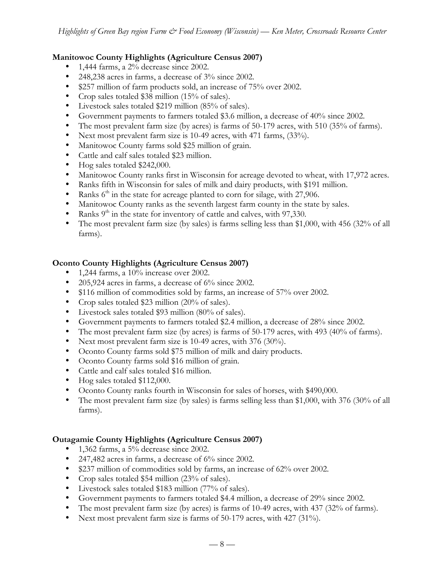## **Manitowoc County Highlights (Agriculture Census 2007)**

- 1,444 farms, a 2% decrease since 2002.
- 248,238 acres in farms, a decrease of 3% since 2002.
- \$257 million of farm products sold, an increase of 75% over 2002.
- Crop sales totaled \$38 million (15% of sales).
- Livestock sales totaled \$219 million (85% of sales).
- Government payments to farmers totaled \$3.6 million, a decrease of 40% since 2002.
- The most prevalent farm size (by acres) is farms of 50-179 acres, with 510 (35% of farms).
- Next most prevalent farm size is 10-49 acres, with 471 farms,  $(33\%)$ .
- Manitowoc County farms sold \$25 million of grain.
- Cattle and calf sales totaled \$23 million.
- Hog sales totaled \$242,000.
- Manitowoc County ranks first in Wisconsin for acreage devoted to wheat, with 17,972 acres.
- Ranks fifth in Wisconsin for sales of milk and dairy products, with \$191 million.
- Ranks  $6<sup>th</sup>$  in the state for acreage planted to corn for silage, with 27,906.
- Manitowoc County ranks as the seventh largest farm county in the state by sales.
- Ranks  $9<sup>th</sup>$  in the state for inventory of cattle and calves, with 97,330.<br>• The most prevalent farm size (by sales) is farms selling less than \$1 (
- The most prevalent farm size (by sales) is farms selling less than \$1,000, with 456 (32% of all farms).

## **Oconto County Highlights (Agriculture Census 2007)**

- 1,244 farms, a  $10\%$  increase over 2002.
- 205,924 acres in farms, a decrease of 6% since 2002.
- \$116 million of commodities sold by farms, an increase of 57% over 2002.
- Crop sales totaled \$23 million (20% of sales).
- Livestock sales totaled \$93 million (80% of sales).
- Government payments to farmers totaled \$2.4 million, a decrease of 28% since 2002.
- The most prevalent farm size (by acres) is farms of 50-179 acres, with 493 (40% of farms).
- Next most prevalent farm size is 10-49 acres, with 376 (30%).
- Oconto County farms sold \$75 million of milk and dairy products.
- Oconto County farms sold \$16 million of grain.
- Cattle and calf sales totaled \$16 million.
- Hog sales totaled \$112,000.
- Oconto County ranks fourth in Wisconsin for sales of horses, with \$490,000.
- The most prevalent farm size (by sales) is farms selling less than \$1,000, with 376 (30% of all farms).

# **Outagamie County Highlights (Agriculture Census 2007)**

- 1,362 farms, a 5% decrease since 2002.
- 247,482 acres in farms, a decrease of 6% since 2002.
- \$237 million of commodities sold by farms, an increase of 62% over 2002.
- Crop sales totaled \$54 million (23% of sales).
- Livestock sales totaled \$183 million (77% of sales).
- Government payments to farmers totaled \$4.4 million, a decrease of 29% since 2002.
- The most prevalent farm size (by acres) is farms of 10-49 acres, with 437 (32% of farms).
- Next most prevalent farm size is farms of 50-179 acres, with 427 (31%).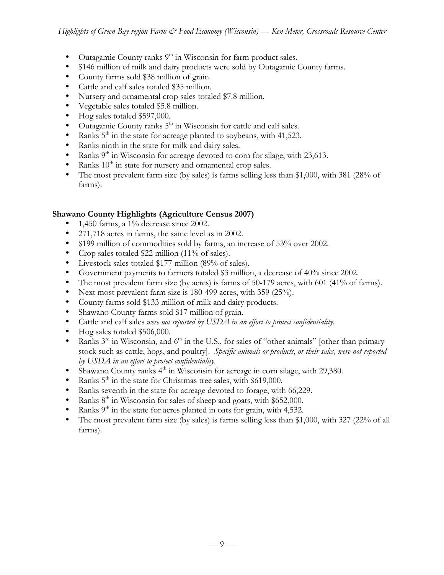- Outagamie County ranks 9<sup>th</sup> in Wisconsin for farm product sales.
- \$146 million of milk and dairy products were sold by Outagamie County farms.
- County farms sold \$38 million of grain.
- Cattle and calf sales totaled \$35 million.
- Nursery and ornamental crop sales totaled \$7.8 million.
- Vegetable sales totaled \$5.8 million.
- Hog sales totaled \$597,000.
- Outagamie County ranks  $5<sup>th</sup>$  in Wisconsin for cattle and calf sales.
- Ranks  $5<sup>th</sup>$  in the state for acreage planted to soybeans, with 41,523.
- Ranks ninth in the state for milk and dairy sales.
- Ranks  $9<sup>th</sup>$  in Wisconsin for acreage devoted to corn for silage, with 23,613.
- Ranks  $10<sup>th</sup>$  in state for nursery and ornamental crop sales.
- The most prevalent farm size (by sales) is farms selling less than \$1,000, with 381 (28% of farms).

## **Shawano County Highlights (Agriculture Census 2007)**

- 1,450 farms, a 1% decrease since 2002.
- 271,718 acres in farms, the same level as in 2002.
- \$199 million of commodities sold by farms, an increase of 53% over 2002.
- Crop sales totaled \$22 million (11% of sales).
- Livestock sales totaled \$177 million (89% of sales).
- Government payments to farmers totaled \$3 million, a decrease of 40% since 2002.
- The most prevalent farm size (by acres) is farms of 50-179 acres, with 601 (41% of farms).
- Next most prevalent farm size is 180-499 acres, with 359 (25%).
- County farms sold \$133 million of milk and dairy products.
- Shawano County farms sold \$17 million of grain.
- Cattle and calf sales *were not reported by USDA in an effort to protect confidentiality.*
- Hog sales totaled \$506,000.
- Ranks  $3^{rd}$  in Wisconsin, and  $6^{th}$  in the U.S., for sales of "other animals" [other than primary stock such as cattle, hogs, and poultry]. *Specific animals or products, or their sales, were not reported by USDA in an effort to protect confidentiality.*
- Shawano County ranks  $4<sup>th</sup>$  in Wisconsin for acreage in corn silage, with 29,380.
- Ranks  $5<sup>th</sup>$  in the state for Christmas tree sales, with \$619,000.
- Ranks seventh in the state for acreage devoted to forage, with 66,229.
- Ranks  $8<sup>th</sup>$  in Wisconsin for sales of sheep and goats, with \$652,000.
- Ranks  $9<sup>th</sup>$  in the state for acres planted in oats for grain, with 4,532.
- The most prevalent farm size (by sales) is farms selling less than \$1,000, with 327 (22% of all farms).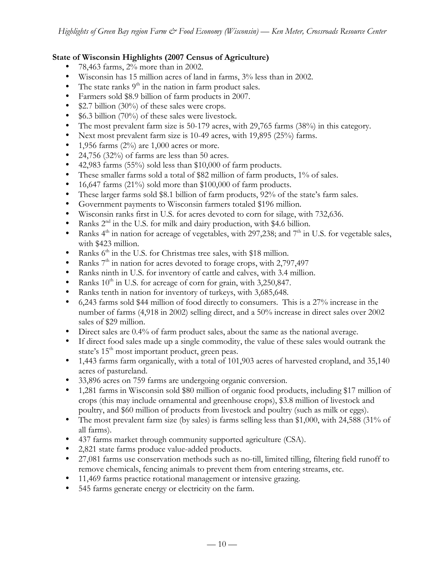## **State of Wisconsin Highlights (2007 Census of Agriculture)**

- 78,463 farms, 2% more than in 2002.
- Wisconsin has 15 million acres of land in farms, 3% less than in 2002.
- The state ranks  $9<sup>th</sup>$  in the nation in farm product sales.
- Farmers sold \$8.9 billion of farm products in 2007.
- \$2.7 billion (30%) of these sales were crops.
- \$6.3 billion (70%) of these sales were livestock.
- The most prevalent farm size is 50-179 acres, with 29,765 farms (38%) in this category.
- Next most prevalent farm size is 10-49 acres, with 19,895 (25%) farms.
- 1,956 farms  $(2\%)$  are 1,000 acres or more.
- 24,756 (32%) of farms are less than 50 acres.
- 42,983 farms (55%) sold less than \$10,000 of farm products.
- These smaller farms sold a total of \$82 million of farm products, 1% of sales.
- 16,647 farms (21%) sold more than \$100,000 of farm products.
- These larger farms sold \$8.1 billion of farm products, 92% of the state's farm sales.
- Government payments to Wisconsin farmers totaled \$196 million.
- Wisconsin ranks first in U.S. for acres devoted to corn for silage, with 732,636.
- Ranks  $2^{nd}$  in the U.S. for milk and dairy production, with \$4.6 billion.<br>• Ranks  $4^{th}$  in nation for acreage of vegetables, with 297.238; and  $7^{th}$  in
- Ranks  $4<sup>th</sup>$  in nation for acreage of vegetables, with 297,238; and  $7<sup>th</sup>$  in U.S. for vegetable sales, with \$423 million.
- Ranks  $6<sup>th</sup>$  in the U.S. for Christmas tree sales, with \$18 million.
- Ranks  $7<sup>th</sup>$  in nation for acres devoted to forage crops, with 2,797,497
- Ranks ninth in U.S. for inventory of cattle and calves, with 3.4 million.
- Ranks  $10^{th}$  in U.S. for acreage of corn for grain, with 3,250,847.
- Ranks tenth in nation for inventory of turkeys, with 3,685,648.
- 6,243 farms sold \$44 million of food directly to consumers. This is a 27% increase in the number of farms (4,918 in 2002) selling direct, and a 50% increase in direct sales over 2002 sales of \$29 million.
- Direct sales are 0.4% of farm product sales, about the same as the national average.
- If direct food sales made up a single commodity, the value of these sales would outrank the state's 15<sup>th</sup> most important product, green peas.
- 1,443 farms farm organically, with a total of 101,903 acres of harvested cropland, and 35,140 acres of pastureland.
- 33,896 acres on 759 farms are undergoing organic conversion.
- 1,281 farms in Wisconsin sold \$80 million of organic food products, including \$17 million of crops (this may include ornamental and greenhouse crops), \$3.8 million of livestock and poultry, and \$60 million of products from livestock and poultry (such as milk or eggs).
- The most prevalent farm size (by sales) is farms selling less than \$1,000, with 24,588 (31% of all farms).
- 437 farms market through community supported agriculture (CSA).
- 2,821 state farms produce value-added products.
- 27,081 farms use conservation methods such as no-till, limited tilling, filtering field runoff to remove chemicals, fencing animals to prevent them from entering streams, etc.
- 11,469 farms practice rotational management or intensive grazing.
- 545 farms generate energy or electricity on the farm.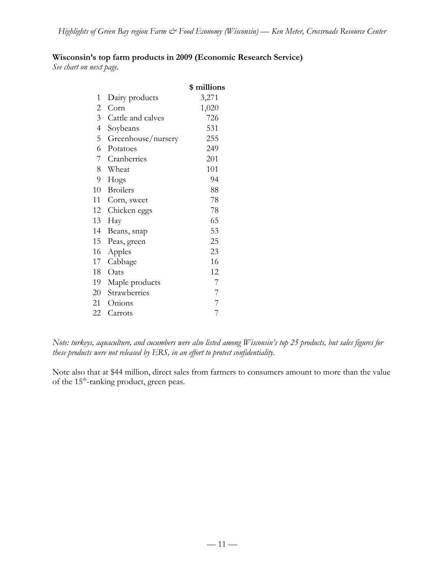# **Wisconsin's top farm products in 2009 (Economic Research Service)**

*See chart on next page.*

|                |                    | \$ millions    |
|----------------|--------------------|----------------|
| 1              | Dairy products     | 3,271          |
| 2              | Corn               | 1,020          |
| 3 <sup>7</sup> | Cattle and calves  | 726            |
| $\overline{4}$ | Soybeans           | 531            |
| 5              | Greenhouse/nursery | 255            |
| 6              | Potatoes           | 249            |
| 7              | Cranberries        | 201            |
| 8              | Wheat              | 101            |
| 9              | Hogs               | 94             |
| 10             | <b>Broilers</b>    | 88             |
| 11             | Corn, sweet        | 78             |
| 12             | Chicken eggs       | 78             |
| 13             | Hay                | 65             |
| 14             | Beans, snap        | 53             |
| 15             | Peas, green        | 25             |
| 16             | Apples             | 23             |
| 17             | Cabbage            | 16             |
| 18             | Oats               | 12             |
| 19             | Maple products     | 7              |
| 20             | Strawberries       | 7              |
| 21             | Onions             | $\overline{7}$ |
| 22             | Carrots            | 7              |

*Note: turkeys, aquaculture, and cucumbers were also listed among Wisconsin's top 25 products, but sales figures for these products were not released by ERS, in an effort to protect confidentiality.*

Note also that at \$44 million, direct sales from farmers to consumers amount to more than the value of the 15<sup>th</sup>-ranking product, green peas.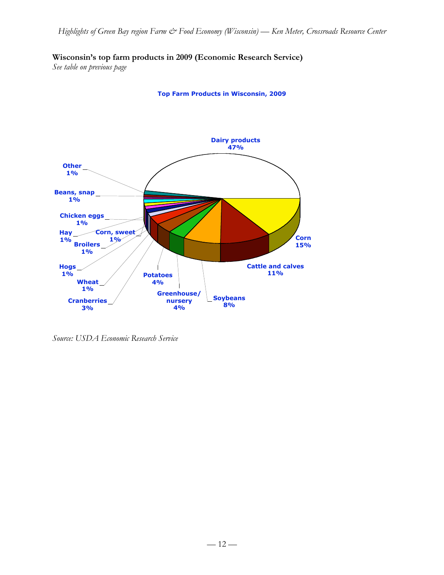# **Wisconsin's top farm products in 2009 (Economic Research Service)**

*See table on previous page*

**Top Farm Products in Wisconsin, 2009**



*Source: USDA Economic Research Service*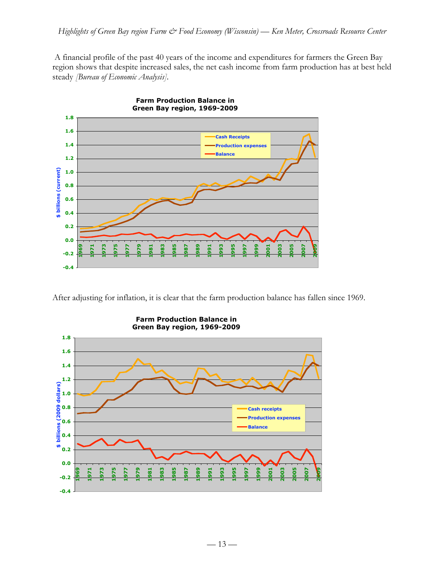A financial profile of the past 40 years of the income and expenditures for farmers the Green Bay region shows that despite increased sales, the net cash income from farm production has at best held steady *[Bureau of Economic Analysis].*



After adjusting for inflation, it is clear that the farm production balance has fallen since 1969.



**Farm Production Balance in Green Bay region, 1969-2009**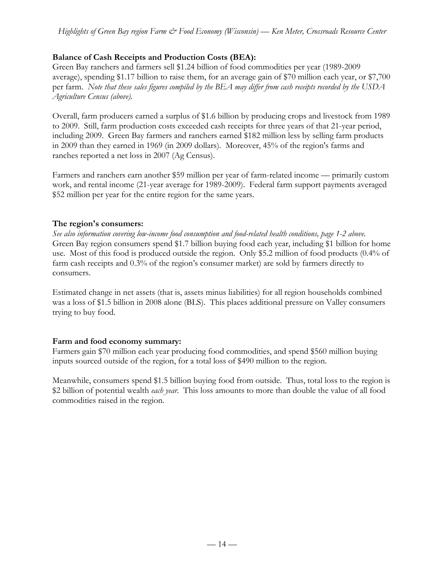# **Balance of Cash Receipts and Production Costs (BEA):**

Green Bay ranchers and farmers sell \$1.24 billion of food commodities per year (1989-2009 average), spending \$1.17 billion to raise them, for an average gain of \$70 million each year, or \$7,700 per farm. *Note that these sales figures compiled by the BEA may differ from cash receipts recorded by the USDA Agriculture Census (above).*

Overall, farm producers earned a surplus of \$1.6 billion by producing crops and livestock from 1989 to 2009. Still, farm production costs exceeded cash receipts for three years of that 21-year period, including 2009. Green Bay farmers and ranchers earned \$182 million less by selling farm products in 2009 than they earned in 1969 (in 2009 dollars). Moreover, 45% of the region's farms and ranches reported a net loss in 2007 (Ag Census).

Farmers and ranchers earn another \$59 million per year of farm-related income — primarily custom work, and rental income (21-year average for 1989-2009). Federal farm support payments averaged \$52 million per year for the entire region for the same years.

# **The region's consumers:**

*See also information covering low-income food consumption and food-related health conditions, page 1-2 above.* Green Bay region consumers spend \$1.7 billion buying food each year, including \$1 billion for home use. Most of this food is produced outside the region. Only \$5.2 million of food products (0.4% of farm cash receipts and 0.3% of the region's consumer market) are sold by farmers directly to consumers.

Estimated change in net assets (that is, assets minus liabilities) for all region households combined was a loss of \$1.5 billion in 2008 alone (BLS). This places additional pressure on Valley consumers trying to buy food.

# **Farm and food economy summary:**

Farmers gain \$70 million each year producing food commodities, and spend \$560 million buying inputs sourced outside of the region, for a total loss of \$490 million to the region.

Meanwhile, consumers spend \$1.5 billion buying food from outside. Thus, total loss to the region is \$2 billion of potential wealth *each year*. This loss amounts to more than double the value of all food commodities raised in the region.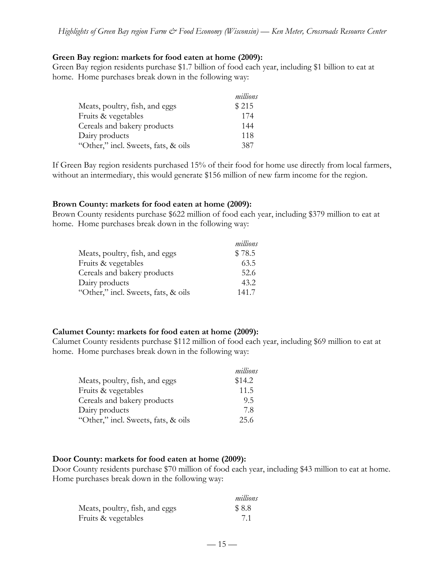#### **Green Bay region: markets for food eaten at home (2009):**

Green Bay region residents purchase \$1.7 billion of food each year, including \$1 billion to eat at home. Home purchases break down in the following way:

|                                     | millions |
|-------------------------------------|----------|
| Meats, poultry, fish, and eggs      | \$215    |
| Fruits & vegetables                 | 174      |
| Cereals and bakery products         | 144      |
| Dairy products                      | 118      |
| "Other," incl. Sweets, fats, & oils | 387      |

If Green Bay region residents purchased 15% of their food for home use directly from local farmers, without an intermediary, this would generate \$156 million of new farm income for the region.

#### **Brown County: markets for food eaten at home (2009):**

Brown County residents purchase \$622 million of food each year, including \$379 million to eat at home. Home purchases break down in the following way:

|                                     | millions |
|-------------------------------------|----------|
| Meats, poultry, fish, and eggs      | \$78.5   |
| Fruits & vegetables                 | 63.5     |
| Cereals and bakery products         | 52.6     |
| Dairy products                      | 43.2     |
| "Other," incl. Sweets, fats, & oils | 141.7    |

### **Calumet County: markets for food eaten at home (2009):**

Calumet County residents purchase \$112 million of food each year, including \$69 million to eat at home. Home purchases break down in the following way:

|                                     | millions |
|-------------------------------------|----------|
| Meats, poultry, fish, and eggs      | \$14.2   |
| Fruits & vegetables                 | 11.5     |
| Cereals and bakery products         | 95       |
| Dairy products                      | 7.8      |
| "Other," incl. Sweets, fats, & oils | 25.6     |

## **Door County: markets for food eaten at home (2009):**

Door County residents purchase \$70 million of food each year, including \$43 million to eat at home. Home purchases break down in the following way:

|                                | millions |
|--------------------------------|----------|
| Meats, poultry, fish, and eggs | \$ 8.8   |
| Fruits & vegetables            |          |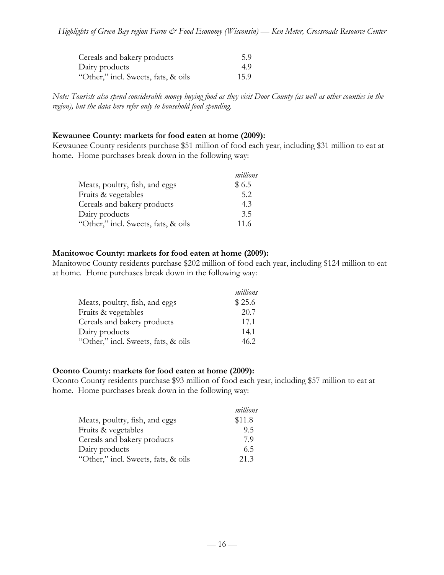| Cereals and bakery products         | 5.9  |
|-------------------------------------|------|
| Dairy products                      | 4.9  |
| "Other," incl. Sweets, fats, & oils | 15.9 |

*Note: Tourists also spend considerable money buying food as they visit Door County (as well as other counties in the region), but the data here refer only to household food spending.*

### **Kewaunee County: markets for food eaten at home (2009):**

Kewaunee County residents purchase \$51 million of food each year, including \$31 million to eat at home. Home purchases break down in the following way:

|                                     | millions |
|-------------------------------------|----------|
| Meats, poultry, fish, and eggs      | \$6.5    |
| Fruits & vegetables                 | 5.2      |
| Cereals and bakery products         | 4.3      |
| Dairy products                      | 3.5      |
| "Other," incl. Sweets, fats, & oils | 11.6     |

### **Manitowoc County: markets for food eaten at home (2009):**

Manitowoc County residents purchase \$202 million of food each year, including \$124 million to eat at home. Home purchases break down in the following way:

|                                     | millions |
|-------------------------------------|----------|
| Meats, poultry, fish, and eggs      | \$25.6   |
| Fruits & vegetables                 | 20.7     |
| Cereals and bakery products         | 17.1     |
| Dairy products                      | 14.1     |
| "Other," incl. Sweets, fats, & oils | 46.2     |

### **Oconto Count**y**: markets for food eaten at home (2009):**

Oconto County residents purchase \$93 million of food each year, including \$57 million to eat at home. Home purchases break down in the following way:

|                                     | millions |
|-------------------------------------|----------|
| Meats, poultry, fish, and eggs      | \$11.8   |
| Fruits & vegetables                 | 9.5      |
| Cereals and bakery products         | 79       |
| Dairy products                      | 6.5      |
| "Other," incl. Sweets, fats, & oils | 21.3     |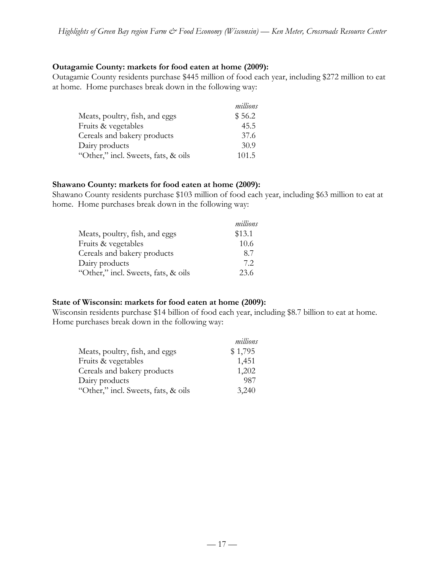### **Outagamie County: markets for food eaten at home (2009):**

Outagamie County residents purchase \$445 million of food each year, including \$272 million to eat at home. Home purchases break down in the following way:

|                                     | millions |
|-------------------------------------|----------|
| Meats, poultry, fish, and eggs      | \$56.2   |
| Fruits & vegetables                 | 45.5     |
| Cereals and bakery products         | 37.6     |
| Dairy products                      | 30.9     |
| "Other," incl. Sweets, fats, & oils | 101.5    |

#### **Shawano County: markets for food eaten at home (2009):**

Shawano County residents purchase \$103 million of food each year, including \$63 million to eat at home. Home purchases break down in the following way:

|                                     | millions |
|-------------------------------------|----------|
| Meats, poultry, fish, and eggs      | \$13.1   |
| Fruits & vegetables                 | 10.6     |
| Cereals and bakery products         | 87       |
| Dairy products                      | 72       |
| "Other," incl. Sweets, fats, & oils | 23.6     |

### **State of Wisconsin: markets for food eaten at home (2009):**

Wisconsin residents purchase \$14 billion of food each year, including \$8.7 billion to eat at home. Home purchases break down in the following way:

|                                     | millions |
|-------------------------------------|----------|
| Meats, poultry, fish, and eggs      | \$1,795  |
| Fruits & vegetables                 | 1,451    |
| Cereals and bakery products         | 1,202    |
| Dairy products                      | 987      |
| "Other," incl. Sweets, fats, & oils | 3,240    |